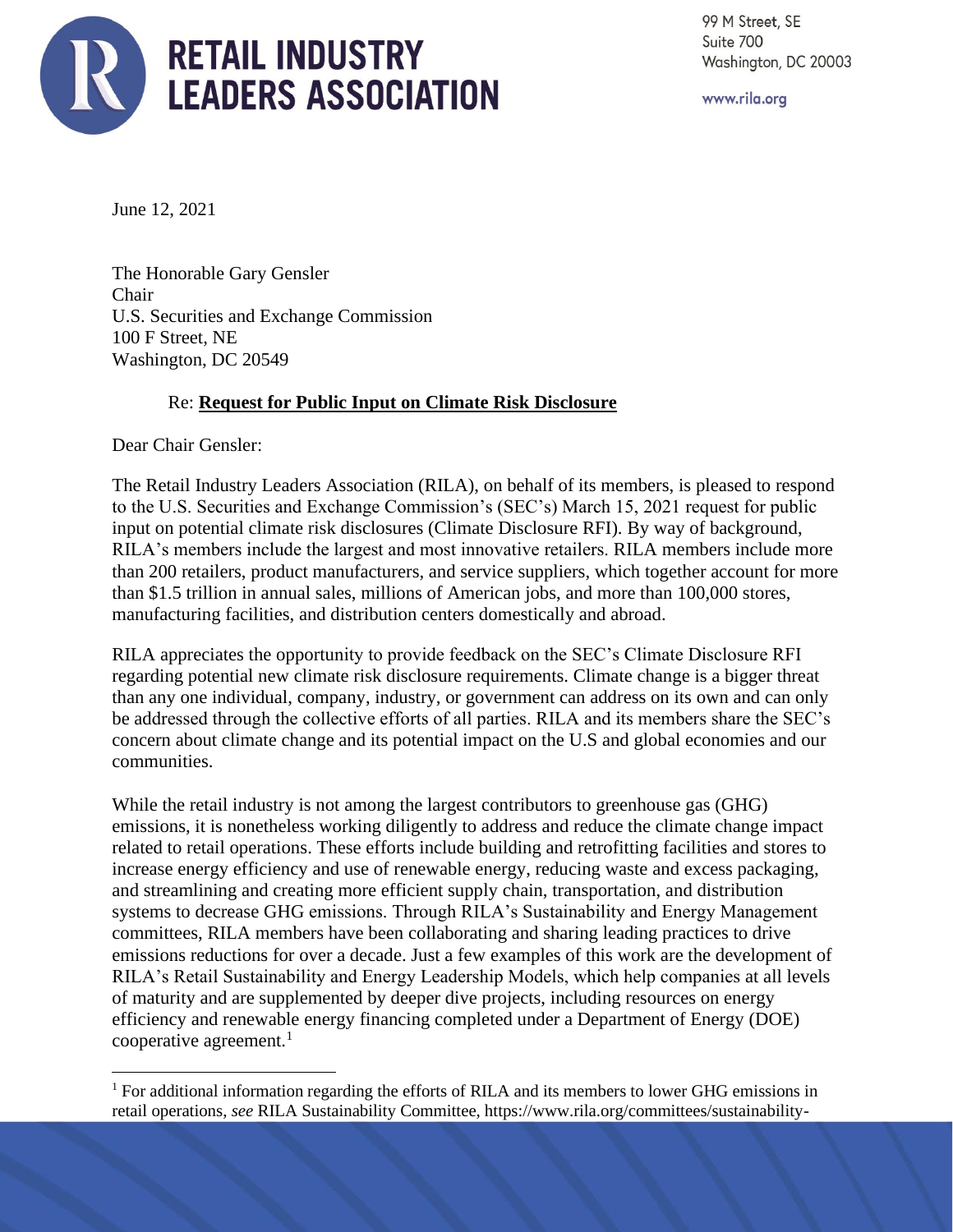

99 M Street, SE Suite 700 Washington, DC 20003

www.rila.org

June 12, 2021

The Honorable Gary Gensler Chair U.S. Securities and Exchange Commission 100 F Street, NE Washington, DC 20549

## Re: **Request for Public Input on Climate Risk Disclosure**

Dear Chair Gensler:

The Retail Industry Leaders Association (RILA), on behalf of its members, is pleased to respond to the U.S. Securities and Exchange Commission's (SEC's) March 15, 2021 request for public input on potential climate risk disclosures (Climate Disclosure RFI). By way of background, RILA's members include the largest and most innovative retailers. RILA members include more than 200 retailers, product manufacturers, and service suppliers, which together account for more than \$1.5 trillion in annual sales, millions of American jobs, and more than 100,000 stores, manufacturing facilities, and distribution centers domestically and abroad.

RILA appreciates the opportunity to provide feedback on the SEC's Climate Disclosure RFI regarding potential new climate risk disclosure requirements. Climate change is a bigger threat than any one individual, company, industry, or government can address on its own and can only be addressed through the collective efforts of all parties. RILA and its members share the SEC's concern about climate change and its potential impact on the U.S and global economies and our communities.

While the retail industry is not among the largest contributors to greenhouse gas (GHG) emissions, it is nonetheless working diligently to address and reduce the climate change impact related to retail operations. These efforts include building and retrofitting facilities and stores to increase energy efficiency and use of renewable energy, reducing waste and excess packaging, and streamlining and creating more efficient supply chain, transportation, and distribution systems to decrease GHG emissions. Through RILA's Sustainability and Energy Management committees, RILA members have been collaborating and sharing leading practices to drive emissions reductions for over a decade. Just a few examples of this work are the development of RILA's Retail Sustainability and Energy Leadership Models, which help companies at all levels of maturity and are supplemented by deeper dive projects, including resources on energy efficiency and renewable energy financing completed under a Department of Energy (DOE) cooperative agreement. $<sup>1</sup>$ </sup>

<sup>&</sup>lt;sup>1</sup> For additional information regarding the efforts of RILA and its members to lower GHG emissions in retail operations, *see* RILA Sustainability Committee, https://www.rila.org/committees/sustainability-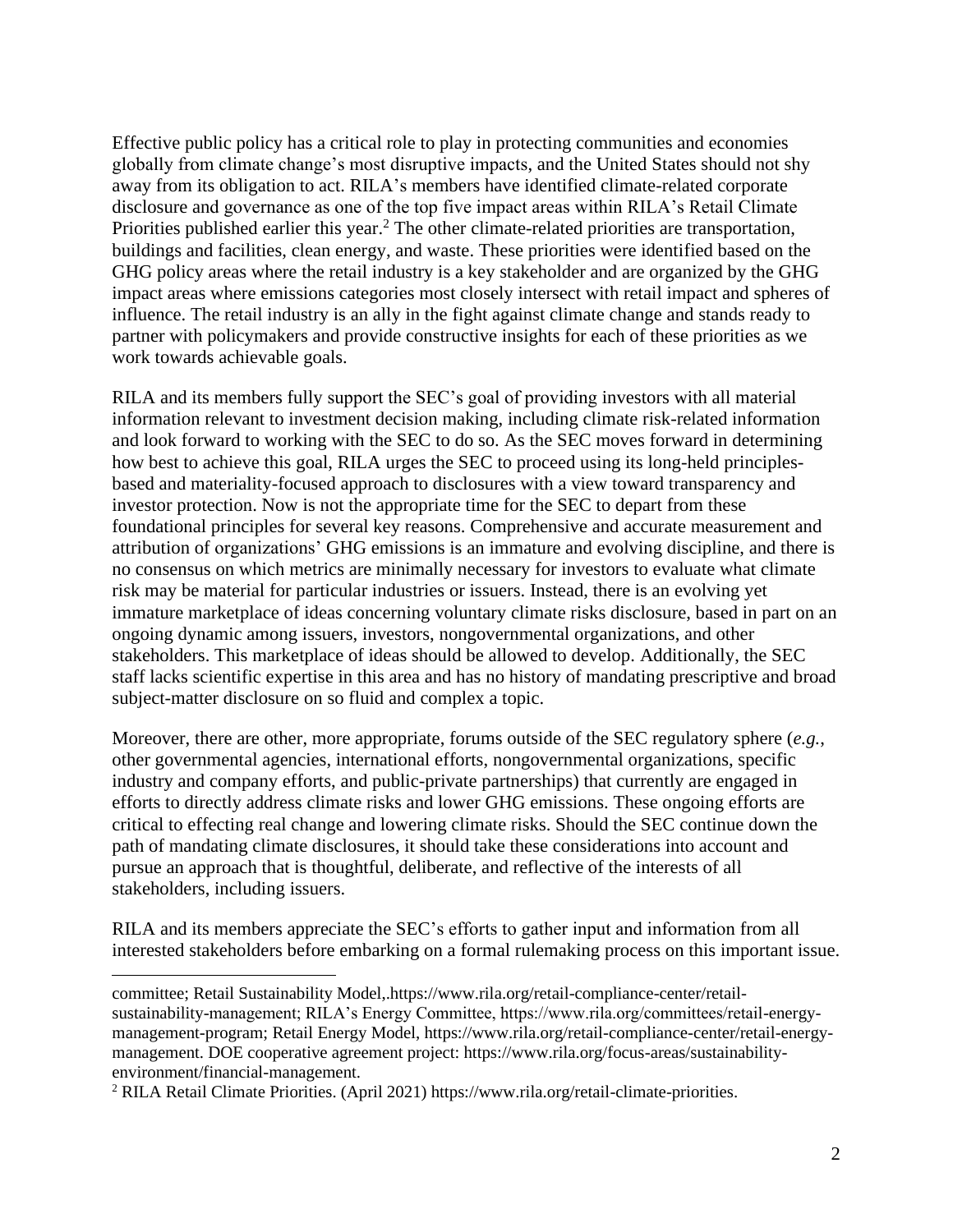Effective public policy has a critical role to play in protecting communities and economies globally from climate change's most disruptive impacts, and the United States should not shy away from its obligation to act. RILA's members have identified climate-related corporate disclosure and governance as one of the top five impact areas within RILA's Retail Climate Priorities published earlier this year.<sup>2</sup> The other climate-related priorities are transportation, buildings and facilities, clean energy, and waste. These priorities were identified based on the GHG policy areas where the retail industry is a key stakeholder and are organized by the GHG impact areas where emissions categories most closely intersect with retail impact and spheres of influence. The retail industry is an ally in the fight against climate change and stands ready to partner with policymakers and provide constructive insights for each of these priorities as we work towards achievable goals.

RILA and its members fully support the SEC's goal of providing investors with all material information relevant to investment decision making, including climate risk-related information and look forward to working with the SEC to do so. As the SEC moves forward in determining how best to achieve this goal, RILA urges the SEC to proceed using its long-held principlesbased and materiality-focused approach to disclosures with a view toward transparency and investor protection. Now is not the appropriate time for the SEC to depart from these foundational principles for several key reasons. Comprehensive and accurate measurement and attribution of organizations' GHG emissions is an immature and evolving discipline, and there is no consensus on which metrics are minimally necessary for investors to evaluate what climate risk may be material for particular industries or issuers. Instead, there is an evolving yet immature marketplace of ideas concerning voluntary climate risks disclosure, based in part on an ongoing dynamic among issuers, investors, nongovernmental organizations, and other stakeholders. This marketplace of ideas should be allowed to develop. Additionally, the SEC staff lacks scientific expertise in this area and has no history of mandating prescriptive and broad subject-matter disclosure on so fluid and complex a topic.

Moreover, there are other, more appropriate, forums outside of the SEC regulatory sphere (*e.g.*, other governmental agencies, international efforts, nongovernmental organizations, specific industry and company efforts, and public-private partnerships) that currently are engaged in efforts to directly address climate risks and lower GHG emissions. These ongoing efforts are critical to effecting real change and lowering climate risks. Should the SEC continue down the path of mandating climate disclosures, it should take these considerations into account and pursue an approach that is thoughtful, deliberate, and reflective of the interests of all stakeholders, including issuers.

RILA and its members appreciate the SEC's efforts to gather input and information from all interested stakeholders before embarking on a formal rulemaking process on this important issue.

<sup>2</sup> RILA Retail Climate Priorities. (April 2021) https://www.rila.org/retail-climate-priorities.

committee; Retail Sustainability Model,.https://www.rila.org/retail-compliance-center/retailsustainability-management; RILA's Energy Committee, https://www.rila.org/committees/retail-energymanagement-program; Retail Energy Model, https://www.rila.org/retail-compliance-center/retail-energymanagement. DOE cooperative agreement project: https://www.rila.org/focus-areas/sustainabilityenvironment/financial-management.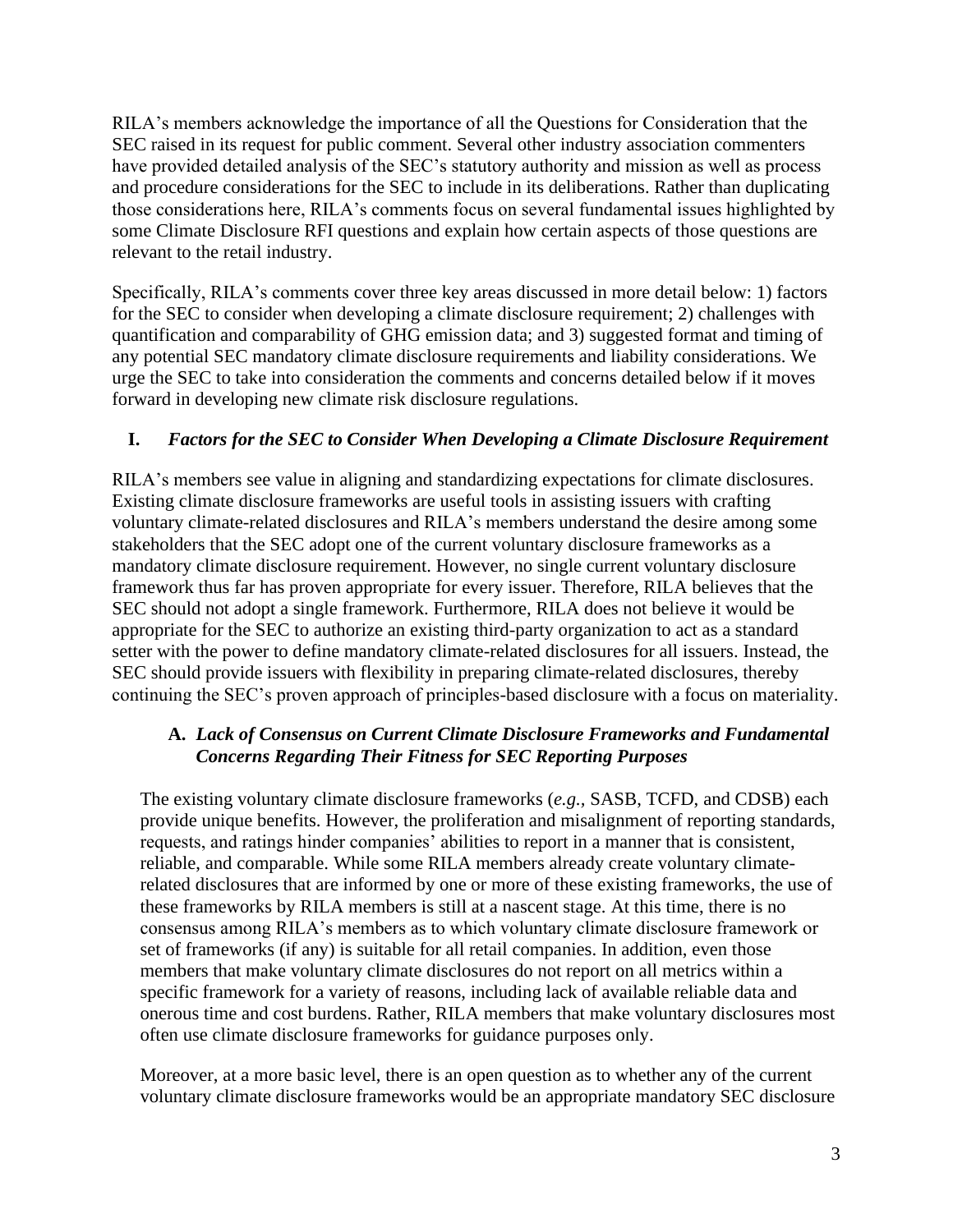RILA's members acknowledge the importance of all the Questions for Consideration that the SEC raised in its request for public comment. Several other industry association commenters have provided detailed analysis of the SEC's statutory authority and mission as well as process and procedure considerations for the SEC to include in its deliberations. Rather than duplicating those considerations here, RILA's comments focus on several fundamental issues highlighted by some Climate Disclosure RFI questions and explain how certain aspects of those questions are relevant to the retail industry.

Specifically, RILA's comments cover three key areas discussed in more detail below: 1) factors for the SEC to consider when developing a climate disclosure requirement; 2) challenges with quantification and comparability of GHG emission data; and 3) suggested format and timing of any potential SEC mandatory climate disclosure requirements and liability considerations. We urge the SEC to take into consideration the comments and concerns detailed below if it moves forward in developing new climate risk disclosure regulations.

### **I.** *Factors for the SEC to Consider When Developing a Climate Disclosure Requirement*

RILA's members see value in aligning and standardizing expectations for climate disclosures. Existing climate disclosure frameworks are useful tools in assisting issuers with crafting voluntary climate-related disclosures and RILA's members understand the desire among some stakeholders that the SEC adopt one of the current voluntary disclosure frameworks as a mandatory climate disclosure requirement. However, no single current voluntary disclosure framework thus far has proven appropriate for every issuer. Therefore, RILA believes that the SEC should not adopt a single framework. Furthermore, RILA does not believe it would be appropriate for the SEC to authorize an existing third-party organization to act as a standard setter with the power to define mandatory climate-related disclosures for all issuers. Instead, the SEC should provide issuers with flexibility in preparing climate-related disclosures, thereby continuing the SEC's proven approach of principles-based disclosure with a focus on materiality.

## **A.** *Lack of Consensus on Current Climate Disclosure Frameworks and Fundamental Concerns Regarding Their Fitness for SEC Reporting Purposes*

The existing voluntary climate disclosure frameworks (*e.g.,* SASB, TCFD, and CDSB) each provide unique benefits. However, the proliferation and misalignment of reporting standards, requests, and ratings hinder companies' abilities to report in a manner that is consistent, reliable, and comparable. While some RILA members already create voluntary climaterelated disclosures that are informed by one or more of these existing frameworks, the use of these frameworks by RILA members is still at a nascent stage. At this time, there is no consensus among RILA's members as to which voluntary climate disclosure framework or set of frameworks (if any) is suitable for all retail companies. In addition, even those members that make voluntary climate disclosures do not report on all metrics within a specific framework for a variety of reasons, including lack of available reliable data and onerous time and cost burdens. Rather, RILA members that make voluntary disclosures most often use climate disclosure frameworks for guidance purposes only.

Moreover, at a more basic level, there is an open question as to whether any of the current voluntary climate disclosure frameworks would be an appropriate mandatory SEC disclosure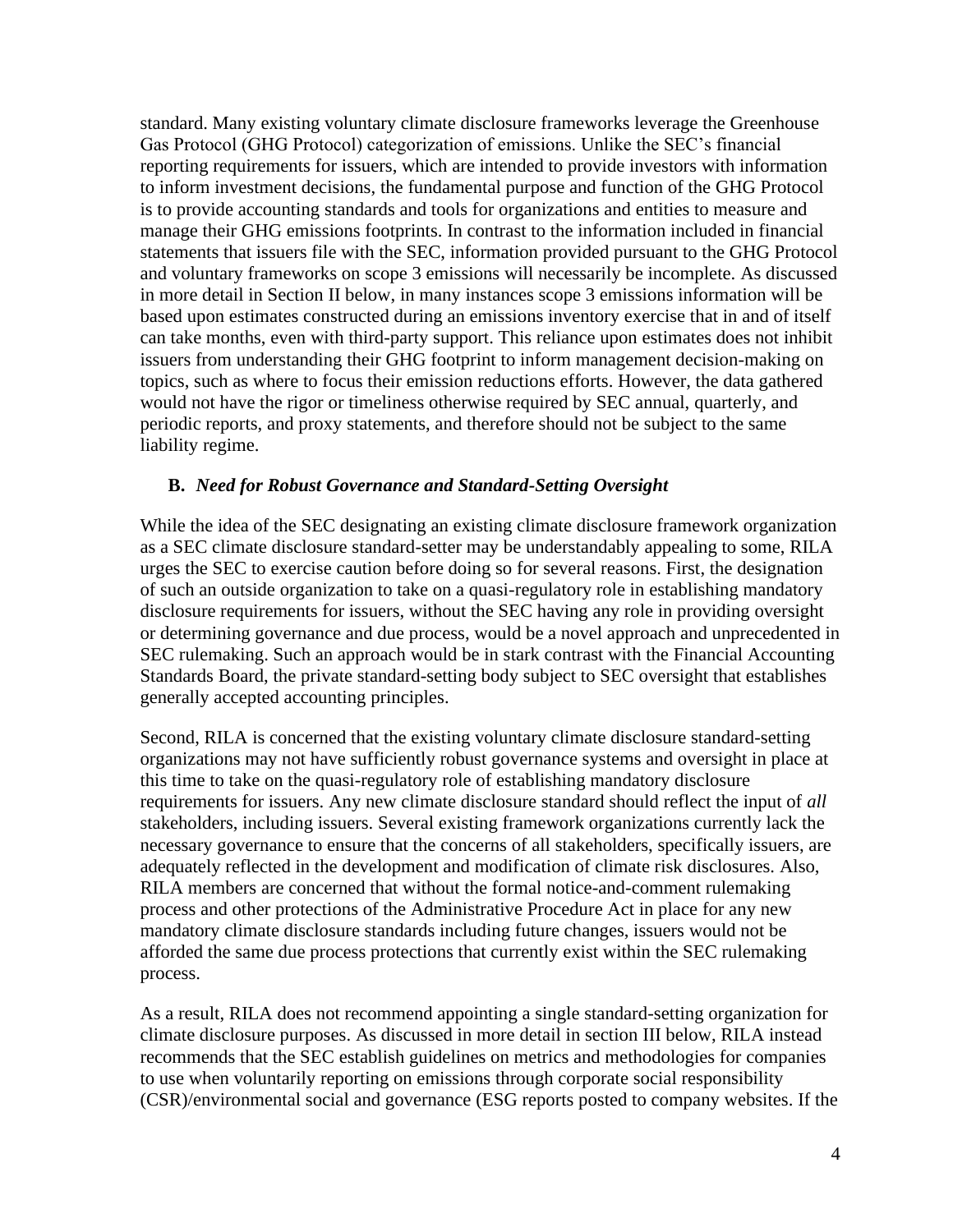standard. Many existing voluntary climate disclosure frameworks leverage the Greenhouse Gas Protocol (GHG Protocol) categorization of emissions. Unlike the SEC's financial reporting requirements for issuers, which are intended to provide investors with information to inform investment decisions, the fundamental purpose and function of the GHG Protocol is to provide accounting standards and tools for organizations and entities to measure and manage their GHG emissions footprints. In contrast to the information included in financial statements that issuers file with the SEC, information provided pursuant to the GHG Protocol and voluntary frameworks on scope 3 emissions will necessarily be incomplete. As discussed in more detail in Section II below, in many instances scope 3 emissions information will be based upon estimates constructed during an emissions inventory exercise that in and of itself can take months, even with third-party support. This reliance upon estimates does not inhibit issuers from understanding their GHG footprint to inform management decision-making on topics, such as where to focus their emission reductions efforts. However, the data gathered would not have the rigor or timeliness otherwise required by SEC annual, quarterly, and periodic reports, and proxy statements, and therefore should not be subject to the same liability regime.

#### **B.** *Need for Robust Governance and Standard-Setting Oversight*

While the idea of the SEC designating an existing climate disclosure framework organization as a SEC climate disclosure standard-setter may be understandably appealing to some, RILA urges the SEC to exercise caution before doing so for several reasons. First, the designation of such an outside organization to take on a quasi-regulatory role in establishing mandatory disclosure requirements for issuers, without the SEC having any role in providing oversight or determining governance and due process, would be a novel approach and unprecedented in SEC rulemaking. Such an approach would be in stark contrast with the Financial Accounting Standards Board, the private standard-setting body subject to SEC oversight that establishes generally accepted accounting principles.

Second, RILA is concerned that the existing voluntary climate disclosure standard-setting organizations may not have sufficiently robust governance systems and oversight in place at this time to take on the quasi-regulatory role of establishing mandatory disclosure requirements for issuers. Any new climate disclosure standard should reflect the input of *all* stakeholders, including issuers. Several existing framework organizations currently lack the necessary governance to ensure that the concerns of all stakeholders, specifically issuers, are adequately reflected in the development and modification of climate risk disclosures. Also, RILA members are concerned that without the formal notice-and-comment rulemaking process and other protections of the Administrative Procedure Act in place for any new mandatory climate disclosure standards including future changes, issuers would not be afforded the same due process protections that currently exist within the SEC rulemaking process.

As a result, RILA does not recommend appointing a single standard-setting organization for climate disclosure purposes. As discussed in more detail in section III below, RILA instead recommends that the SEC establish guidelines on metrics and methodologies for companies to use when voluntarily reporting on emissions through corporate social responsibility (CSR)/environmental social and governance (ESG reports posted to company websites. If the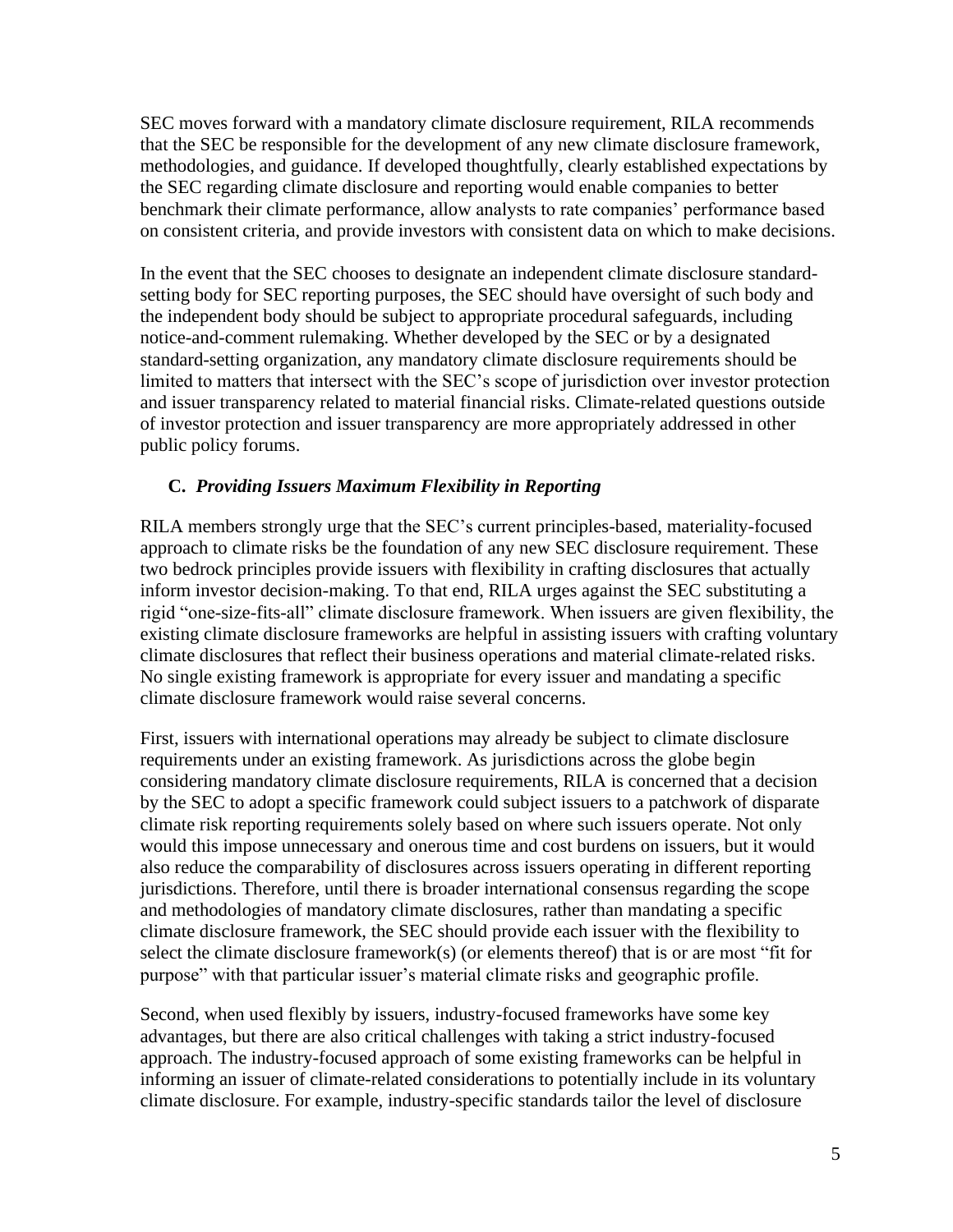SEC moves forward with a mandatory climate disclosure requirement, RILA recommends that the SEC be responsible for the development of any new climate disclosure framework, methodologies, and guidance. If developed thoughtfully, clearly established expectations by the SEC regarding climate disclosure and reporting would enable companies to better benchmark their climate performance, allow analysts to rate companies' performance based on consistent criteria, and provide investors with consistent data on which to make decisions.

In the event that the SEC chooses to designate an independent climate disclosure standardsetting body for SEC reporting purposes, the SEC should have oversight of such body and the independent body should be subject to appropriate procedural safeguards, including notice-and-comment rulemaking. Whether developed by the SEC or by a designated standard-setting organization, any mandatory climate disclosure requirements should be limited to matters that intersect with the SEC's scope of jurisdiction over investor protection and issuer transparency related to material financial risks. Climate-related questions outside of investor protection and issuer transparency are more appropriately addressed in other public policy forums.

### **C.** *Providing Issuers Maximum Flexibility in Reporting*

RILA members strongly urge that the SEC's current principles-based, materiality-focused approach to climate risks be the foundation of any new SEC disclosure requirement. These two bedrock principles provide issuers with flexibility in crafting disclosures that actually inform investor decision-making. To that end, RILA urges against the SEC substituting a rigid "one-size-fits-all" climate disclosure framework. When issuers are given flexibility, the existing climate disclosure frameworks are helpful in assisting issuers with crafting voluntary climate disclosures that reflect their business operations and material climate-related risks. No single existing framework is appropriate for every issuer and mandating a specific climate disclosure framework would raise several concerns.

First, issuers with international operations may already be subject to climate disclosure requirements under an existing framework. As jurisdictions across the globe begin considering mandatory climate disclosure requirements, RILA is concerned that a decision by the SEC to adopt a specific framework could subject issuers to a patchwork of disparate climate risk reporting requirements solely based on where such issuers operate. Not only would this impose unnecessary and onerous time and cost burdens on issuers, but it would also reduce the comparability of disclosures across issuers operating in different reporting jurisdictions. Therefore, until there is broader international consensus regarding the scope and methodologies of mandatory climate disclosures, rather than mandating a specific climate disclosure framework, the SEC should provide each issuer with the flexibility to select the climate disclosure framework(s) (or elements thereof) that is or are most "fit for purpose" with that particular issuer's material climate risks and geographic profile.

Second, when used flexibly by issuers, industry-focused frameworks have some key advantages, but there are also critical challenges with taking a strict industry-focused approach. The industry-focused approach of some existing frameworks can be helpful in informing an issuer of climate-related considerations to potentially include in its voluntary climate disclosure. For example, industry-specific standards tailor the level of disclosure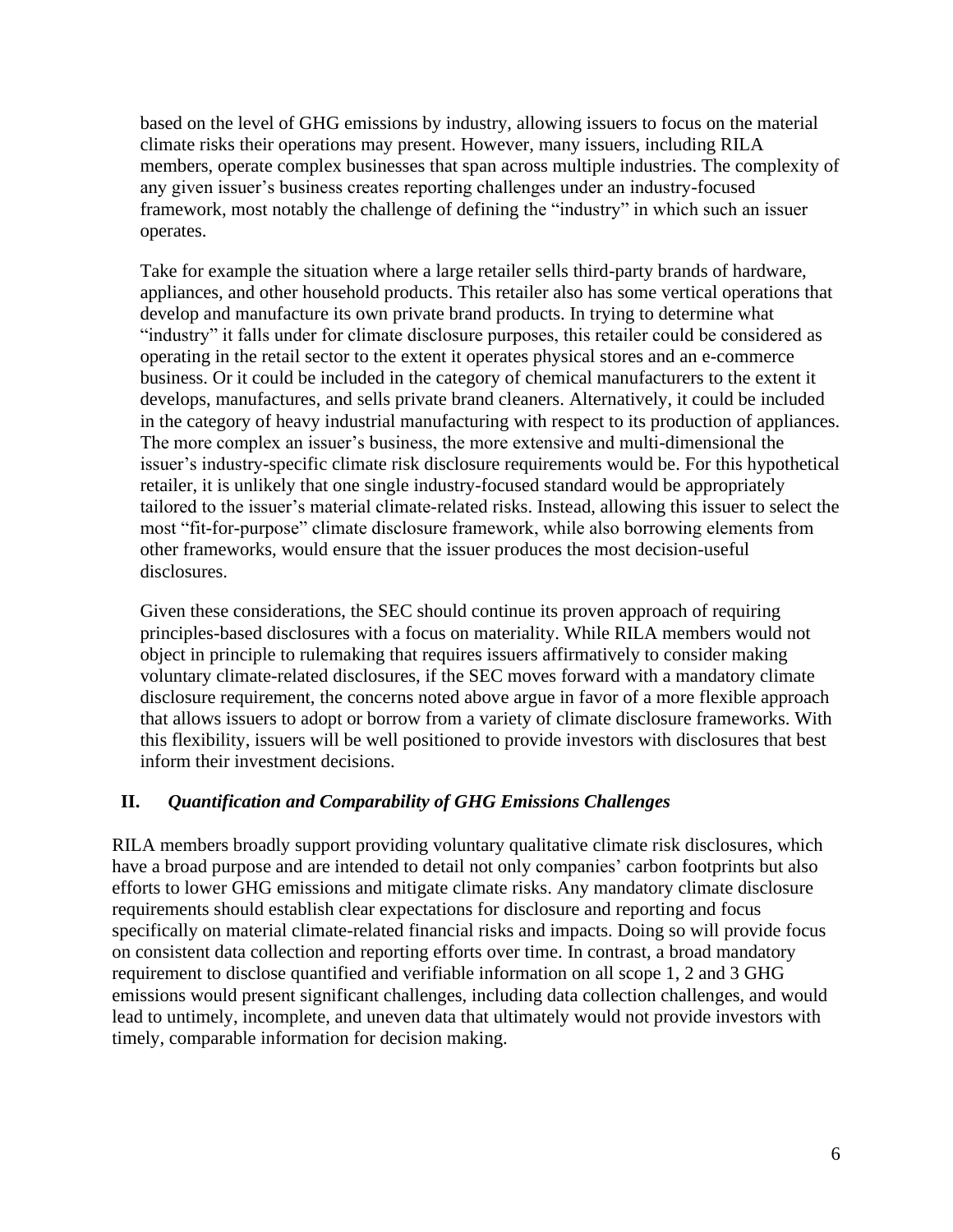based on the level of GHG emissions by industry, allowing issuers to focus on the material climate risks their operations may present. However, many issuers, including RILA members, operate complex businesses that span across multiple industries. The complexity of any given issuer's business creates reporting challenges under an industry-focused framework, most notably the challenge of defining the "industry" in which such an issuer operates.

Take for example the situation where a large retailer sells third-party brands of hardware, appliances, and other household products. This retailer also has some vertical operations that develop and manufacture its own private brand products. In trying to determine what "industry" it falls under for climate disclosure purposes, this retailer could be considered as operating in the retail sector to the extent it operates physical stores and an e-commerce business. Or it could be included in the category of chemical manufacturers to the extent it develops, manufactures, and sells private brand cleaners. Alternatively, it could be included in the category of heavy industrial manufacturing with respect to its production of appliances. The more complex an issuer's business, the more extensive and multi-dimensional the issuer's industry-specific climate risk disclosure requirements would be. For this hypothetical retailer, it is unlikely that one single industry-focused standard would be appropriately tailored to the issuer's material climate-related risks. Instead, allowing this issuer to select the most "fit-for-purpose" climate disclosure framework, while also borrowing elements from other frameworks, would ensure that the issuer produces the most decision-useful disclosures.

Given these considerations, the SEC should continue its proven approach of requiring principles-based disclosures with a focus on materiality. While RILA members would not object in principle to rulemaking that requires issuers affirmatively to consider making voluntary climate-related disclosures, if the SEC moves forward with a mandatory climate disclosure requirement, the concerns noted above argue in favor of a more flexible approach that allows issuers to adopt or borrow from a variety of climate disclosure frameworks. With this flexibility, issuers will be well positioned to provide investors with disclosures that best inform their investment decisions.

# **II.** *Quantification and Comparability of GHG Emissions Challenges*

RILA members broadly support providing voluntary qualitative climate risk disclosures, which have a broad purpose and are intended to detail not only companies' carbon footprints but also efforts to lower GHG emissions and mitigate climate risks. Any mandatory climate disclosure requirements should establish clear expectations for disclosure and reporting and focus specifically on material climate-related financial risks and impacts. Doing so will provide focus on consistent data collection and reporting efforts over time. In contrast, a broad mandatory requirement to disclose quantified and verifiable information on all scope 1, 2 and 3 GHG emissions would present significant challenges, including data collection challenges, and would lead to untimely, incomplete, and uneven data that ultimately would not provide investors with timely, comparable information for decision making.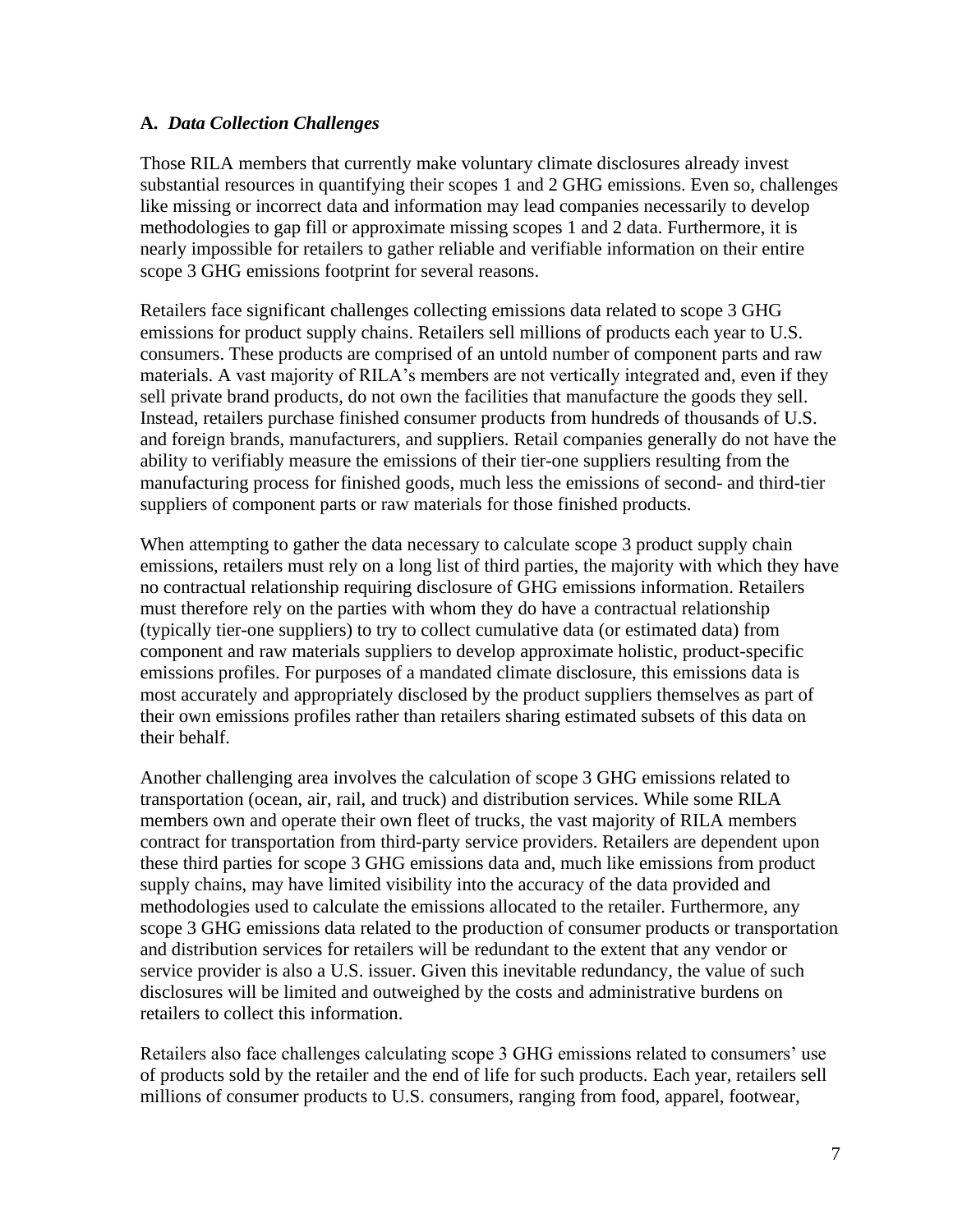#### **A.** *Data Collection Challenges*

Those RILA members that currently make voluntary climate disclosures already invest substantial resources in quantifying their scopes 1 and 2 GHG emissions. Even so, challenges like missing or incorrect data and information may lead companies necessarily to develop methodologies to gap fill or approximate missing scopes 1 and 2 data. Furthermore, it is nearly impossible for retailers to gather reliable and verifiable information on their entire scope 3 GHG emissions footprint for several reasons.

Retailers face significant challenges collecting emissions data related to scope 3 GHG emissions for product supply chains. Retailers sell millions of products each year to U.S. consumers. These products are comprised of an untold number of component parts and raw materials. A vast majority of RILA's members are not vertically integrated and, even if they sell private brand products, do not own the facilities that manufacture the goods they sell. Instead, retailers purchase finished consumer products from hundreds of thousands of U.S. and foreign brands, manufacturers, and suppliers. Retail companies generally do not have the ability to verifiably measure the emissions of their tier-one suppliers resulting from the manufacturing process for finished goods, much less the emissions of second- and third-tier suppliers of component parts or raw materials for those finished products.

When attempting to gather the data necessary to calculate scope 3 product supply chain emissions, retailers must rely on a long list of third parties, the majority with which they have no contractual relationship requiring disclosure of GHG emissions information. Retailers must therefore rely on the parties with whom they do have a contractual relationship (typically tier-one suppliers) to try to collect cumulative data (or estimated data) from component and raw materials suppliers to develop approximate holistic, product-specific emissions profiles. For purposes of a mandated climate disclosure, this emissions data is most accurately and appropriately disclosed by the product suppliers themselves as part of their own emissions profiles rather than retailers sharing estimated subsets of this data on their behalf.

Another challenging area involves the calculation of scope 3 GHG emissions related to transportation (ocean, air, rail, and truck) and distribution services. While some RILA members own and operate their own fleet of trucks, the vast majority of RILA members contract for transportation from third-party service providers. Retailers are dependent upon these third parties for scope 3 GHG emissions data and, much like emissions from product supply chains, may have limited visibility into the accuracy of the data provided and methodologies used to calculate the emissions allocated to the retailer. Furthermore, any scope 3 GHG emissions data related to the production of consumer products or transportation and distribution services for retailers will be redundant to the extent that any vendor or service provider is also a U.S. issuer. Given this inevitable redundancy, the value of such disclosures will be limited and outweighed by the costs and administrative burdens on retailers to collect this information.

Retailers also face challenges calculating scope 3 GHG emissions related to consumers' use of products sold by the retailer and the end of life for such products. Each year, retailers sell millions of consumer products to U.S. consumers, ranging from food, apparel, footwear,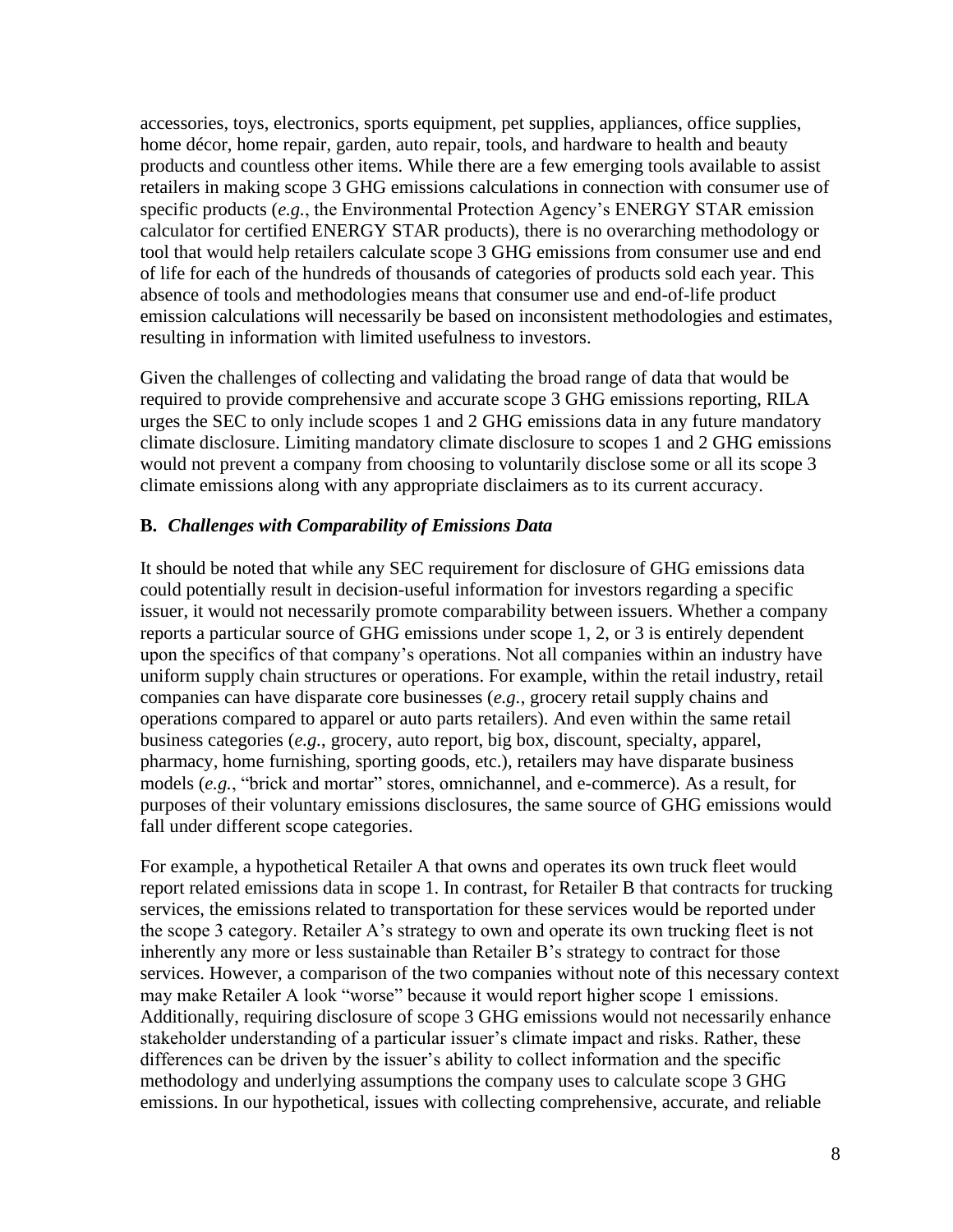accessories, toys, electronics, sports equipment, pet supplies, appliances, office supplies, home décor, home repair, garden, auto repair, tools, and hardware to health and beauty products and countless other items. While there are a few emerging tools available to assist retailers in making scope 3 GHG emissions calculations in connection with consumer use of specific products (*e.g.*, the Environmental Protection Agency's ENERGY STAR emission calculator for certified ENERGY STAR products), there is no overarching methodology or tool that would help retailers calculate scope 3 GHG emissions from consumer use and end of life for each of the hundreds of thousands of categories of products sold each year. This absence of tools and methodologies means that consumer use and end-of-life product emission calculations will necessarily be based on inconsistent methodologies and estimates, resulting in information with limited usefulness to investors.

Given the challenges of collecting and validating the broad range of data that would be required to provide comprehensive and accurate scope 3 GHG emissions reporting, RILA urges the SEC to only include scopes 1 and 2 GHG emissions data in any future mandatory climate disclosure. Limiting mandatory climate disclosure to scopes 1 and 2 GHG emissions would not prevent a company from choosing to voluntarily disclose some or all its scope 3 climate emissions along with any appropriate disclaimers as to its current accuracy.

#### **B.** *Challenges with Comparability of Emissions Data*

It should be noted that while any SEC requirement for disclosure of GHG emissions data could potentially result in decision-useful information for investors regarding a specific issuer, it would not necessarily promote comparability between issuers. Whether a company reports a particular source of GHG emissions under scope 1, 2, or 3 is entirely dependent upon the specifics of that company's operations. Not all companies within an industry have uniform supply chain structures or operations. For example, within the retail industry, retail companies can have disparate core businesses (*e.g.*, grocery retail supply chains and operations compared to apparel or auto parts retailers). And even within the same retail business categories (*e.g.*, grocery, auto report, big box, discount, specialty, apparel, pharmacy, home furnishing, sporting goods, etc.), retailers may have disparate business models (*e.g.*, "brick and mortar" stores, omnichannel, and e-commerce). As a result, for purposes of their voluntary emissions disclosures, the same source of GHG emissions would fall under different scope categories.

For example, a hypothetical Retailer A that owns and operates its own truck fleet would report related emissions data in scope 1. In contrast, for Retailer B that contracts for trucking services, the emissions related to transportation for these services would be reported under the scope 3 category. Retailer A's strategy to own and operate its own trucking fleet is not inherently any more or less sustainable than Retailer B's strategy to contract for those services. However, a comparison of the two companies without note of this necessary context may make Retailer A look "worse" because it would report higher scope 1 emissions. Additionally, requiring disclosure of scope 3 GHG emissions would not necessarily enhance stakeholder understanding of a particular issuer's climate impact and risks. Rather, these differences can be driven by the issuer's ability to collect information and the specific methodology and underlying assumptions the company uses to calculate scope 3 GHG emissions. In our hypothetical, issues with collecting comprehensive, accurate, and reliable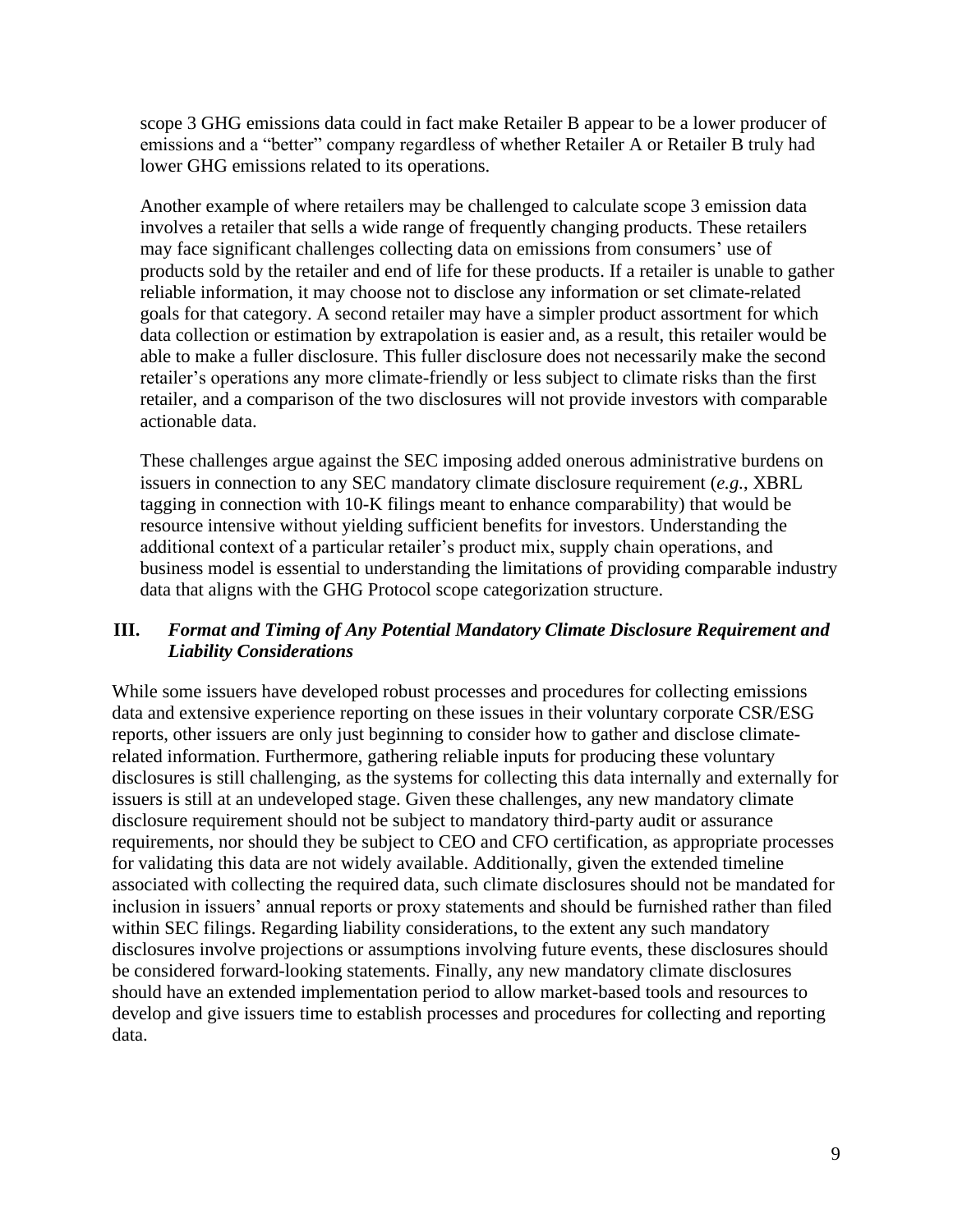scope 3 GHG emissions data could in fact make Retailer B appear to be a lower producer of emissions and a "better" company regardless of whether Retailer A or Retailer B truly had lower GHG emissions related to its operations.

Another example of where retailers may be challenged to calculate scope 3 emission data involves a retailer that sells a wide range of frequently changing products. These retailers may face significant challenges collecting data on emissions from consumers' use of products sold by the retailer and end of life for these products. If a retailer is unable to gather reliable information, it may choose not to disclose any information or set climate-related goals for that category. A second retailer may have a simpler product assortment for which data collection or estimation by extrapolation is easier and, as a result, this retailer would be able to make a fuller disclosure. This fuller disclosure does not necessarily make the second retailer's operations any more climate-friendly or less subject to climate risks than the first retailer, and a comparison of the two disclosures will not provide investors with comparable actionable data.

These challenges argue against the SEC imposing added onerous administrative burdens on issuers in connection to any SEC mandatory climate disclosure requirement (*e.g.*, XBRL tagging in connection with 10-K filings meant to enhance comparability) that would be resource intensive without yielding sufficient benefits for investors. Understanding the additional context of a particular retailer's product mix, supply chain operations, and business model is essential to understanding the limitations of providing comparable industry data that aligns with the GHG Protocol scope categorization structure.

## **III.** *Format and Timing of Any Potential Mandatory Climate Disclosure Requirement and Liability Considerations*

While some issuers have developed robust processes and procedures for collecting emissions data and extensive experience reporting on these issues in their voluntary corporate CSR/ESG reports, other issuers are only just beginning to consider how to gather and disclose climaterelated information. Furthermore, gathering reliable inputs for producing these voluntary disclosures is still challenging, as the systems for collecting this data internally and externally for issuers is still at an undeveloped stage. Given these challenges, any new mandatory climate disclosure requirement should not be subject to mandatory third-party audit or assurance requirements, nor should they be subject to CEO and CFO certification, as appropriate processes for validating this data are not widely available. Additionally, given the extended timeline associated with collecting the required data, such climate disclosures should not be mandated for inclusion in issuers' annual reports or proxy statements and should be furnished rather than filed within SEC filings. Regarding liability considerations, to the extent any such mandatory disclosures involve projections or assumptions involving future events, these disclosures should be considered forward-looking statements. Finally, any new mandatory climate disclosures should have an extended implementation period to allow market-based tools and resources to develop and give issuers time to establish processes and procedures for collecting and reporting data.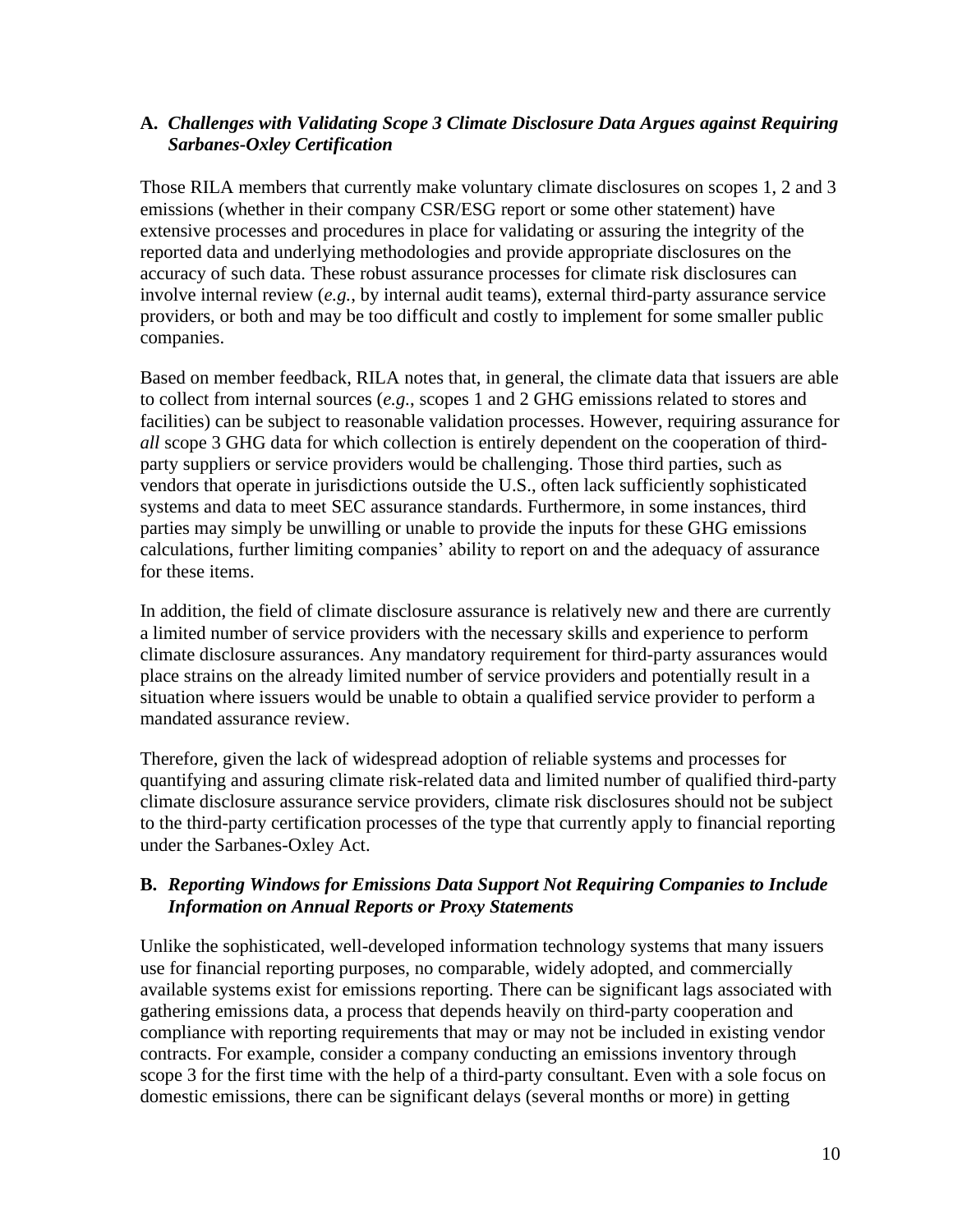### **A.** *Challenges with Validating Scope 3 Climate Disclosure Data Argues against Requiring Sarbanes-Oxley Certification*

Those RILA members that currently make voluntary climate disclosures on scopes 1, 2 and 3 emissions (whether in their company CSR/ESG report or some other statement) have extensive processes and procedures in place for validating or assuring the integrity of the reported data and underlying methodologies and provide appropriate disclosures on the accuracy of such data. These robust assurance processes for climate risk disclosures can involve internal review (*e.g.*, by internal audit teams), external third-party assurance service providers, or both and may be too difficult and costly to implement for some smaller public companies.

Based on member feedback, RILA notes that, in general, the climate data that issuers are able to collect from internal sources (*e.g.*, scopes 1 and 2 GHG emissions related to stores and facilities) can be subject to reasonable validation processes. However, requiring assurance for *all* scope 3 GHG data for which collection is entirely dependent on the cooperation of thirdparty suppliers or service providers would be challenging. Those third parties, such as vendors that operate in jurisdictions outside the U.S., often lack sufficiently sophisticated systems and data to meet SEC assurance standards. Furthermore, in some instances, third parties may simply be unwilling or unable to provide the inputs for these GHG emissions calculations, further limiting companies' ability to report on and the adequacy of assurance for these items.

In addition, the field of climate disclosure assurance is relatively new and there are currently a limited number of service providers with the necessary skills and experience to perform climate disclosure assurances. Any mandatory requirement for third-party assurances would place strains on the already limited number of service providers and potentially result in a situation where issuers would be unable to obtain a qualified service provider to perform a mandated assurance review.

Therefore, given the lack of widespread adoption of reliable systems and processes for quantifying and assuring climate risk-related data and limited number of qualified third-party climate disclosure assurance service providers, climate risk disclosures should not be subject to the third-party certification processes of the type that currently apply to financial reporting under the Sarbanes-Oxley Act.

#### **B.** *Reporting Windows for Emissions Data Support Not Requiring Companies to Include Information on Annual Reports or Proxy Statements*

Unlike the sophisticated, well-developed information technology systems that many issuers use for financial reporting purposes, no comparable, widely adopted, and commercially available systems exist for emissions reporting. There can be significant lags associated with gathering emissions data, a process that depends heavily on third-party cooperation and compliance with reporting requirements that may or may not be included in existing vendor contracts. For example, consider a company conducting an emissions inventory through scope 3 for the first time with the help of a third-party consultant. Even with a sole focus on domestic emissions, there can be significant delays (several months or more) in getting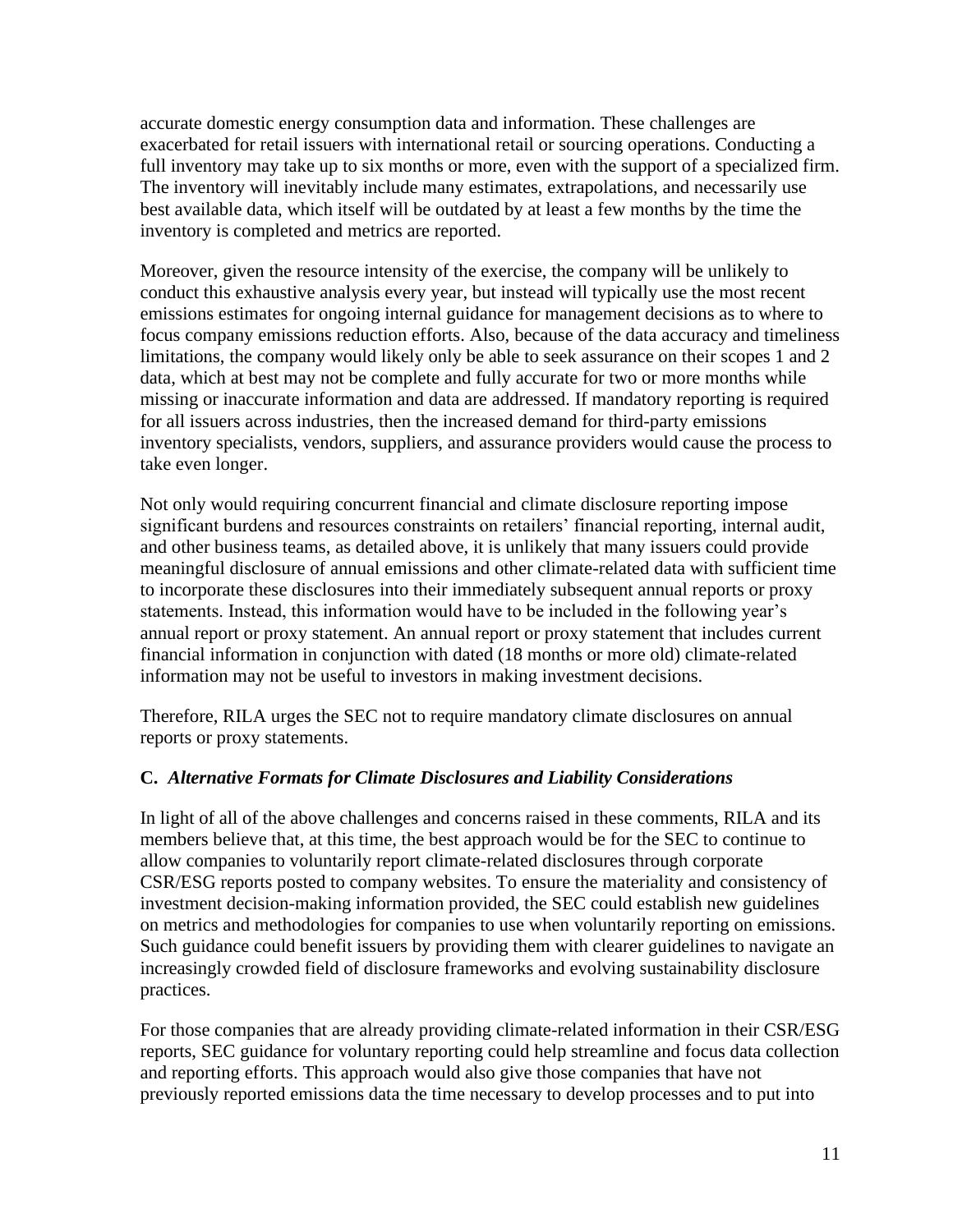accurate domestic energy consumption data and information. These challenges are exacerbated for retail issuers with international retail or sourcing operations. Conducting a full inventory may take up to six months or more, even with the support of a specialized firm. The inventory will inevitably include many estimates, extrapolations, and necessarily use best available data, which itself will be outdated by at least a few months by the time the inventory is completed and metrics are reported.

Moreover, given the resource intensity of the exercise, the company will be unlikely to conduct this exhaustive analysis every year, but instead will typically use the most recent emissions estimates for ongoing internal guidance for management decisions as to where to focus company emissions reduction efforts. Also, because of the data accuracy and timeliness limitations, the company would likely only be able to seek assurance on their scopes 1 and 2 data, which at best may not be complete and fully accurate for two or more months while missing or inaccurate information and data are addressed. If mandatory reporting is required for all issuers across industries, then the increased demand for third-party emissions inventory specialists, vendors, suppliers, and assurance providers would cause the process to take even longer.

Not only would requiring concurrent financial and climate disclosure reporting impose significant burdens and resources constraints on retailers' financial reporting, internal audit, and other business teams, as detailed above, it is unlikely that many issuers could provide meaningful disclosure of annual emissions and other climate-related data with sufficient time to incorporate these disclosures into their immediately subsequent annual reports or proxy statements. Instead, this information would have to be included in the following year's annual report or proxy statement. An annual report or proxy statement that includes current financial information in conjunction with dated (18 months or more old) climate-related information may not be useful to investors in making investment decisions.

Therefore, RILA urges the SEC not to require mandatory climate disclosures on annual reports or proxy statements.

### **C.** *Alternative Formats for Climate Disclosures and Liability Considerations*

In light of all of the above challenges and concerns raised in these comments, RILA and its members believe that, at this time, the best approach would be for the SEC to continue to allow companies to voluntarily report climate-related disclosures through corporate CSR/ESG reports posted to company websites. To ensure the materiality and consistency of investment decision-making information provided, the SEC could establish new guidelines on metrics and methodologies for companies to use when voluntarily reporting on emissions. Such guidance could benefit issuers by providing them with clearer guidelines to navigate an increasingly crowded field of disclosure frameworks and evolving sustainability disclosure practices.

For those companies that are already providing climate-related information in their CSR/ESG reports, SEC guidance for voluntary reporting could help streamline and focus data collection and reporting efforts. This approach would also give those companies that have not previously reported emissions data the time necessary to develop processes and to put into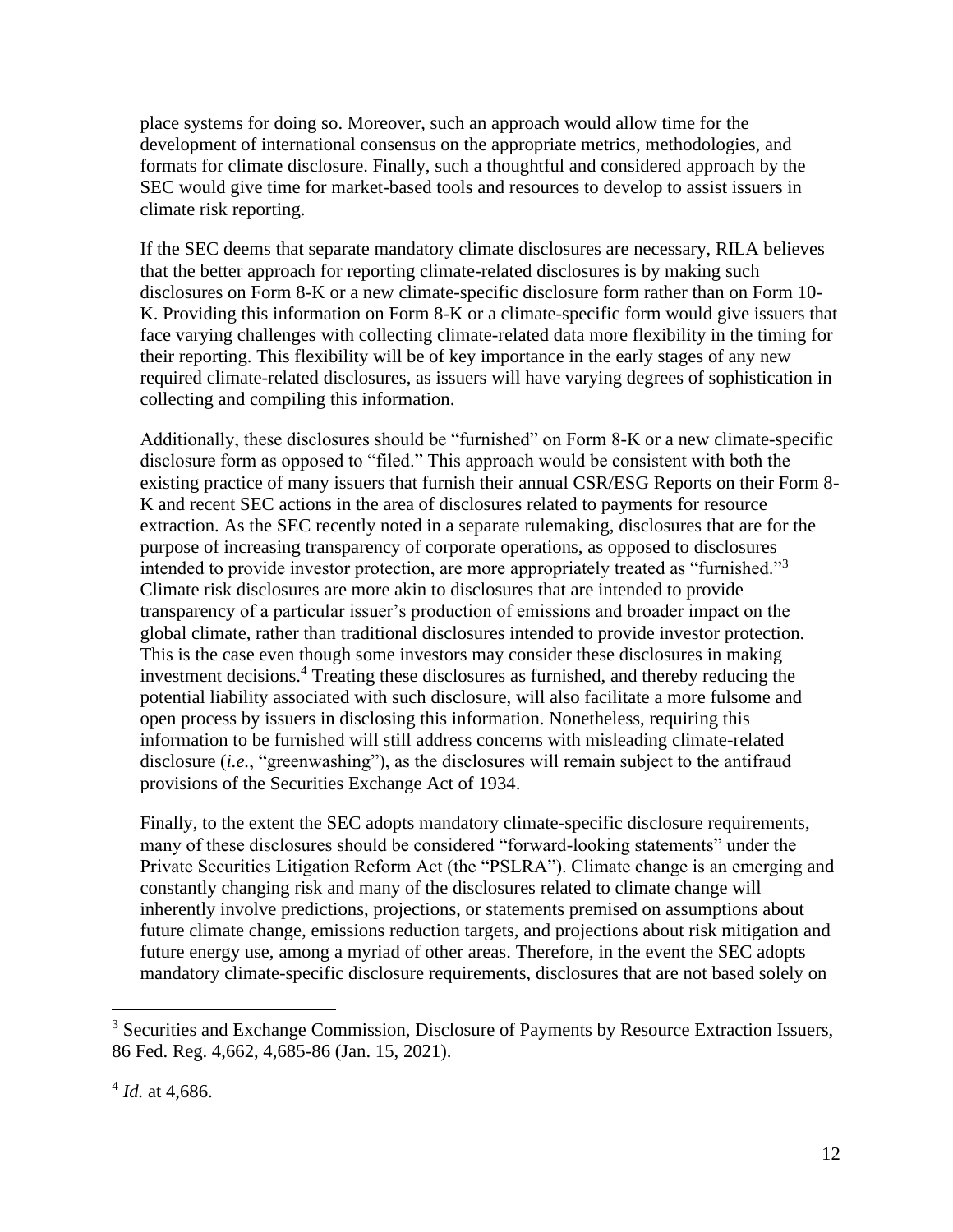place systems for doing so. Moreover, such an approach would allow time for the development of international consensus on the appropriate metrics, methodologies, and formats for climate disclosure. Finally, such a thoughtful and considered approach by the SEC would give time for market-based tools and resources to develop to assist issuers in climate risk reporting.

If the SEC deems that separate mandatory climate disclosures are necessary, RILA believes that the better approach for reporting climate-related disclosures is by making such disclosures on Form 8-K or a new climate-specific disclosure form rather than on Form 10- K. Providing this information on Form 8-K or a climate-specific form would give issuers that face varying challenges with collecting climate-related data more flexibility in the timing for their reporting. This flexibility will be of key importance in the early stages of any new required climate-related disclosures, as issuers will have varying degrees of sophistication in collecting and compiling this information.

Additionally, these disclosures should be "furnished" on Form 8-K or a new climate-specific disclosure form as opposed to "filed." This approach would be consistent with both the existing practice of many issuers that furnish their annual CSR/ESG Reports on their Form 8- K and recent SEC actions in the area of disclosures related to payments for resource extraction. As the SEC recently noted in a separate rulemaking, disclosures that are for the purpose of increasing transparency of corporate operations, as opposed to disclosures intended to provide investor protection, are more appropriately treated as "furnished."<sup>3</sup> Climate risk disclosures are more akin to disclosures that are intended to provide transparency of a particular issuer's production of emissions and broader impact on the global climate, rather than traditional disclosures intended to provide investor protection. This is the case even though some investors may consider these disclosures in making investment decisions.<sup>4</sup> Treating these disclosures as furnished, and thereby reducing the potential liability associated with such disclosure, will also facilitate a more fulsome and open process by issuers in disclosing this information. Nonetheless, requiring this information to be furnished will still address concerns with misleading climate-related disclosure (*i.e.*, "greenwashing"), as the disclosures will remain subject to the antifraud provisions of the Securities Exchange Act of 1934.

Finally, to the extent the SEC adopts mandatory climate-specific disclosure requirements, many of these disclosures should be considered "forward-looking statements" under the Private Securities Litigation Reform Act (the "PSLRA"). Climate change is an emerging and constantly changing risk and many of the disclosures related to climate change will inherently involve predictions, projections, or statements premised on assumptions about future climate change, emissions reduction targets, and projections about risk mitigation and future energy use, among a myriad of other areas. Therefore, in the event the SEC adopts mandatory climate-specific disclosure requirements, disclosures that are not based solely on

<sup>&</sup>lt;sup>3</sup> Securities and Exchange Commission, Disclosure of Payments by Resource Extraction Issuers, 86 Fed. Reg. 4,662, 4,685-86 (Jan. 15, 2021).

<sup>4</sup> *Id.* at 4,686.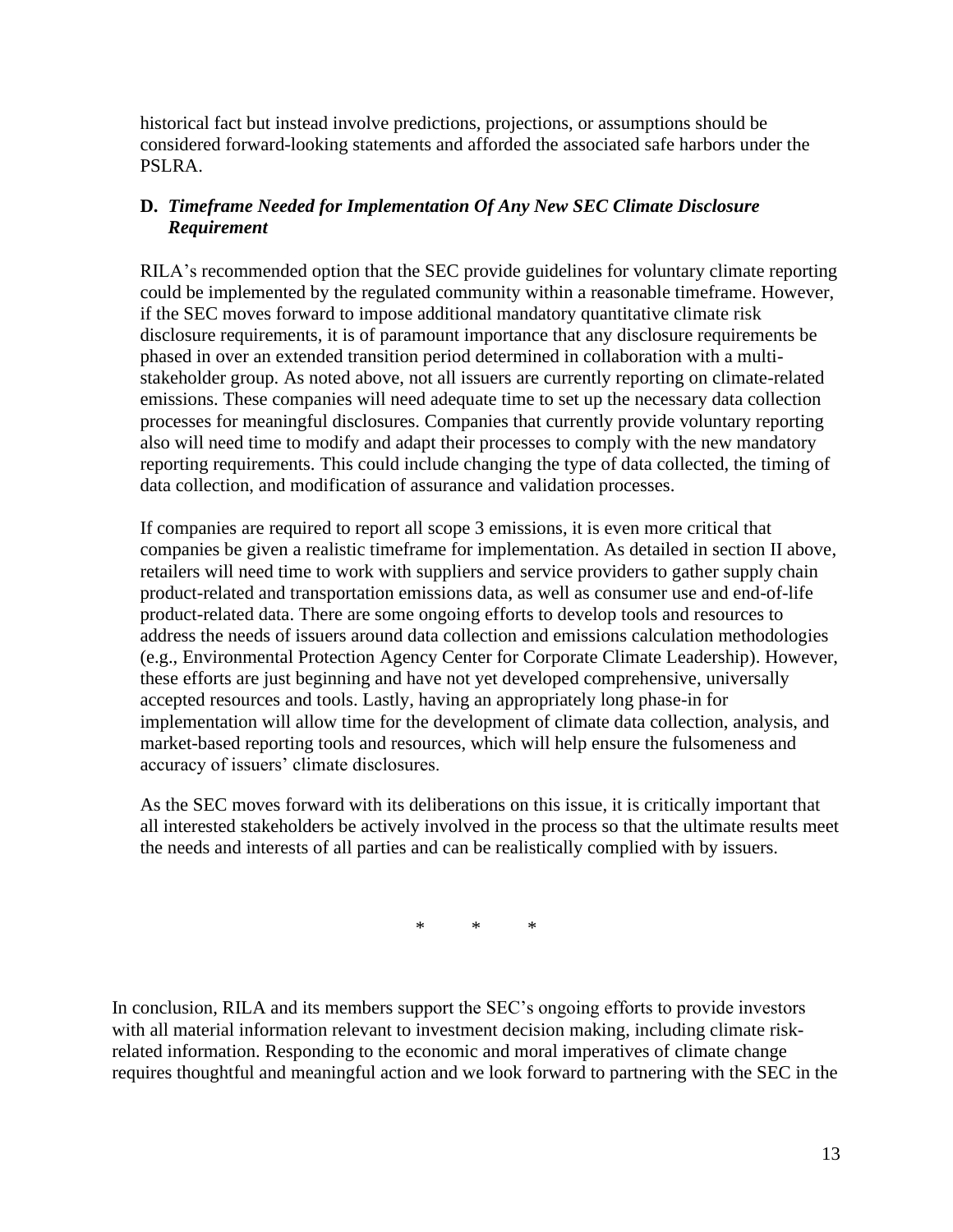historical fact but instead involve predictions, projections, or assumptions should be considered forward-looking statements and afforded the associated safe harbors under the PSLRA.

## **D.** *Timeframe Needed for Implementation Of Any New SEC Climate Disclosure Requirement*

RILA's recommended option that the SEC provide guidelines for voluntary climate reporting could be implemented by the regulated community within a reasonable timeframe. However, if the SEC moves forward to impose additional mandatory quantitative climate risk disclosure requirements, it is of paramount importance that any disclosure requirements be phased in over an extended transition period determined in collaboration with a multistakeholder group. As noted above, not all issuers are currently reporting on climate-related emissions. These companies will need adequate time to set up the necessary data collection processes for meaningful disclosures. Companies that currently provide voluntary reporting also will need time to modify and adapt their processes to comply with the new mandatory reporting requirements. This could include changing the type of data collected, the timing of data collection, and modification of assurance and validation processes.

If companies are required to report all scope 3 emissions, it is even more critical that companies be given a realistic timeframe for implementation. As detailed in section II above, retailers will need time to work with suppliers and service providers to gather supply chain product-related and transportation emissions data, as well as consumer use and end-of-life product-related data. There are some ongoing efforts to develop tools and resources to address the needs of issuers around data collection and emissions calculation methodologies (e.g., Environmental Protection Agency Center for Corporate Climate Leadership). However, these efforts are just beginning and have not yet developed comprehensive, universally accepted resources and tools. Lastly, having an appropriately long phase-in for implementation will allow time for the development of climate data collection, analysis, and market-based reporting tools and resources, which will help ensure the fulsomeness and accuracy of issuers' climate disclosures.

As the SEC moves forward with its deliberations on this issue, it is critically important that all interested stakeholders be actively involved in the process so that the ultimate results meet the needs and interests of all parties and can be realistically complied with by issuers.

\* \* \*

In conclusion, RILA and its members support the SEC's ongoing efforts to provide investors with all material information relevant to investment decision making, including climate riskrelated information. Responding to the economic and moral imperatives of climate change requires thoughtful and meaningful action and we look forward to partnering with the SEC in the